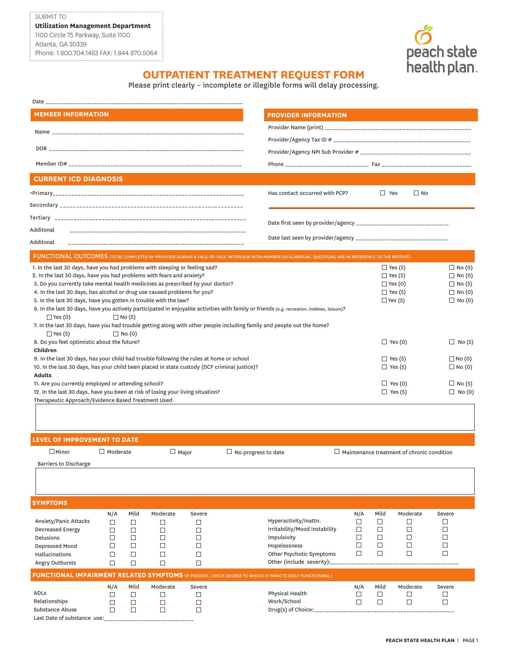Last Date of substance use: \_\_\_\_\_\_\_\_\_\_\_\_\_\_\_\_\_\_\_\_\_\_\_\_\_\_\_\_\_\_



## **OUTPATIENT TREATMENT REQUEST FORM**

Please print clearly – incomplete or illegible forms will delay processing.

| Date and the contract of the contract of the contract of the contract of the contract of the contract of the contract of the contract of the contract of the contract of the contract of the contract of the contract of the c |                 |               |               |             |                             |                                                                                                                                                       |                                                   |                                                                    |                                                   |               |  |
|--------------------------------------------------------------------------------------------------------------------------------------------------------------------------------------------------------------------------------|-----------------|---------------|---------------|-------------|-----------------------------|-------------------------------------------------------------------------------------------------------------------------------------------------------|---------------------------------------------------|--------------------------------------------------------------------|---------------------------------------------------|---------------|--|
| <b>MEMBER INFORMATION</b>                                                                                                                                                                                                      |                 |               |               |             | <b>PROVIDER INFORMATION</b> |                                                                                                                                                       |                                                   |                                                                    |                                                   |               |  |
|                                                                                                                                                                                                                                |                 |               |               |             |                             |                                                                                                                                                       |                                                   |                                                                    |                                                   |               |  |
|                                                                                                                                                                                                                                |                 |               |               |             |                             |                                                                                                                                                       |                                                   |                                                                    |                                                   |               |  |
|                                                                                                                                                                                                                                |                 |               |               |             |                             |                                                                                                                                                       |                                                   |                                                                    |                                                   |               |  |
|                                                                                                                                                                                                                                |                 |               |               |             |                             |                                                                                                                                                       |                                                   |                                                                    |                                                   |               |  |
| <b>CURRENT ICD DIAGNOSIS</b>                                                                                                                                                                                                   |                 |               |               |             |                             |                                                                                                                                                       |                                                   |                                                                    |                                                   |               |  |
|                                                                                                                                                                                                                                |                 |               |               |             |                             | Has contact occurred with PCP?                                                                                                                        |                                                   | $\Box$ Yes                                                         | $\Box$ No                                         |               |  |
|                                                                                                                                                                                                                                |                 |               |               |             |                             |                                                                                                                                                       |                                                   |                                                                    |                                                   |               |  |
|                                                                                                                                                                                                                                |                 |               |               |             |                             |                                                                                                                                                       |                                                   |                                                                    |                                                   |               |  |
| Additonal                                                                                                                                                                                                                      |                 |               |               |             |                             |                                                                                                                                                       |                                                   |                                                                    |                                                   |               |  |
| Additonal                                                                                                                                                                                                                      |                 |               |               |             |                             |                                                                                                                                                       |                                                   |                                                                    |                                                   |               |  |
|                                                                                                                                                                                                                                |                 |               |               |             |                             | FUNCTIONAL OUTCOMES (TO BE COMPLETED BY PROVIDER DURING A FACE-TO-FACE INTERVIEW WITH MEMBER OR GUARDIAN. QUESTIONS ARE IN REFERENCE TO THE PATIENT). |                                                   |                                                                    |                                                   |               |  |
| 1. In the last 30 days, have you had problems with sleeping or feeling sad?                                                                                                                                                    |                 |               |               |             |                             |                                                                                                                                                       |                                                   |                                                                    | $\Box$ Yes (5)                                    | $\Box$ No (0) |  |
| 2. In the last 30 days, have you had problems with fears and anxiety?                                                                                                                                                          |                 |               |               |             |                             |                                                                                                                                                       | $\Box$ Yes (5)<br>$\Box$ No (0)<br>$\Box$ Yes (0) |                                                                    |                                                   |               |  |
| 3. Do you currently take mental health medicines as prescribed by your doctor?<br>4. In the last 30 days, has alcohol or drug use caused problems for you?                                                                     |                 |               |               |             |                             |                                                                                                                                                       |                                                   | $\Box$ Yes (5)                                                     | $\Box$ No (5)<br>$\Box$ No (0)                    |               |  |
| 5. In the last 30 days, have you gotten in trouble with the law?                                                                                                                                                               |                 |               |               |             |                             |                                                                                                                                                       |                                                   |                                                                    | $\Box$ Yes (5)                                    | $\Box$ No (0) |  |
|                                                                                                                                                                                                                                |                 |               |               |             |                             | 6. In the last 30 days, have you actively participated in enjoyable activities with family or friends (e.g. recreation, hobbies, leisure)?            |                                                   |                                                                    |                                                   |               |  |
| $\Box$ Yes (0)                                                                                                                                                                                                                 |                 | $\Box$ No (5) |               |             |                             |                                                                                                                                                       |                                                   |                                                                    |                                                   |               |  |
| $\Box$ Yes (5)                                                                                                                                                                                                                 |                 | $\Box$ No (0) |               |             |                             | 7. In the last 30 days, have you had trouble getting along with other people including family and people out the home?                                |                                                   |                                                                    |                                                   |               |  |
| 8. Do you feel optimistic about the future?                                                                                                                                                                                    |                 |               |               |             |                             | $\Box$ Yes (0)                                                                                                                                        |                                                   | $\Box$ No (5)                                                      |                                                   |               |  |
| Children<br>9. In the last 30 days, has your child had trouble following the rules at home or school                                                                                                                           |                 |               |               |             |                             |                                                                                                                                                       |                                                   |                                                                    |                                                   |               |  |
| 10. In the last 30 days, has your child been placed in state custody (DCF criminal justice)?                                                                                                                                   |                 |               |               |             |                             |                                                                                                                                                       |                                                   | $\Box$ Yes (5)<br>$\Box$ No (0)<br>$\Box$ Yes (5)<br>$\Box$ No (0) |                                                   |               |  |
| <b>Adults</b>                                                                                                                                                                                                                  |                 |               |               |             |                             |                                                                                                                                                       |                                                   |                                                                    |                                                   |               |  |
| 11. Are you currently employed or attending school?                                                                                                                                                                            |                 |               |               |             |                             |                                                                                                                                                       | $\Box$ Yes (0)                                    | $\Box$ No (5)                                                      |                                                   |               |  |
| 12. In the last 30 days, have you been at risk of losing your living situation?<br>Therapeutic Approach/Evidence Based Treatment Used                                                                                          |                 |               |               |             |                             |                                                                                                                                                       |                                                   |                                                                    | $\Box$ Yes (5)                                    | $\Box$ No (0) |  |
|                                                                                                                                                                                                                                |                 |               |               |             |                             |                                                                                                                                                       |                                                   |                                                                    |                                                   |               |  |
|                                                                                                                                                                                                                                |                 |               |               |             |                             |                                                                                                                                                       |                                                   |                                                                    |                                                   |               |  |
|                                                                                                                                                                                                                                |                 |               |               |             |                             |                                                                                                                                                       |                                                   |                                                                    |                                                   |               |  |
| <b>LEVEL OF IMPROVEMENT TO DATE</b>                                                                                                                                                                                            |                 |               |               |             |                             |                                                                                                                                                       |                                                   |                                                                    |                                                   |               |  |
| $\square$ Minor                                                                                                                                                                                                                | $\Box$ Moderate |               | $\Box$ Major  |             | $\Box$ No progress to date  |                                                                                                                                                       |                                                   |                                                                    | $\Box$ Maintenance treatment of chronic condition |               |  |
| Barriers to Discharge                                                                                                                                                                                                          |                 |               |               |             |                             |                                                                                                                                                       |                                                   |                                                                    |                                                   |               |  |
|                                                                                                                                                                                                                                |                 |               |               |             |                             |                                                                                                                                                       |                                                   |                                                                    |                                                   |               |  |
|                                                                                                                                                                                                                                |                 |               |               |             |                             |                                                                                                                                                       |                                                   |                                                                    |                                                   |               |  |
| <b>SYMPTOMS</b>                                                                                                                                                                                                                |                 |               |               |             |                             |                                                                                                                                                       |                                                   |                                                                    |                                                   |               |  |
| Anxiety/Panic Attacks                                                                                                                                                                                                          | N/A             | Mild          | Moderate      | Severe      |                             | Hyperactivity/Inattn.                                                                                                                                 | N/A<br>□                                          | Mild<br>□                                                          | Moderate<br>$\Box$                                | Severe<br>□   |  |
| <b>Decreased Energy</b>                                                                                                                                                                                                        | $\Box$<br>□     | $\Box$<br>□   | $\Box$<br>□   | □<br>□      |                             | Irritability/Mood Instability                                                                                                                         | □                                                 | □                                                                  | □                                                 | □             |  |
| Delusions                                                                                                                                                                                                                      | □               | $\Box$        | □             | □           |                             | Impulsivity                                                                                                                                           | □                                                 | □                                                                  | □                                                 | □             |  |
| Depressed Mood                                                                                                                                                                                                                 | $\Box$          | □             | $\Box$        | $\Box$      |                             | Hopelessness                                                                                                                                          | □                                                 | □                                                                  | $\Box$                                            | $\Box$        |  |
| Hallucinations                                                                                                                                                                                                                 | □               | $\Box$        | $\Box$        | $\Box$      |                             | Other Psychotic Symptoms<br>Other (include severity):_                                                                                                | $\Box$                                            | $\Box$                                                             | $\Box$                                            | $\Box$        |  |
| Angry Outbursts                                                                                                                                                                                                                | $\Box$          | $\Box$        | $\Box$        | $\Box$      |                             |                                                                                                                                                       |                                                   |                                                                    |                                                   |               |  |
|                                                                                                                                                                                                                                |                 |               |               |             |                             | <b>FUNCTIONAL IMPAIRMENT RELATED SYMPTOMS</b> (IF PRESENT, CHECK DEGREE TO WHICH IT IMPACTS DAILY FUNCTIONING.)                                       |                                                   |                                                                    |                                                   |               |  |
| ADLs                                                                                                                                                                                                                           | N/A<br>□        | Mild<br>□     | Moderate<br>□ | Severe<br>□ |                             | Physical Health                                                                                                                                       | N/A<br>□                                          | Mild<br>□                                                          | Moderate<br>□                                     | Severe<br>□   |  |
| Relationships                                                                                                                                                                                                                  | □               | □             | $\Box$        | □           |                             | Work/School                                                                                                                                           | П                                                 | □                                                                  | $\Box$                                            | □             |  |
| Substance Abuse                                                                                                                                                                                                                | $\Box$          | $\Box$        | $\Box$        | □           |                             | Drug(s) of Choice: $\frac{1}{2}$                                                                                                                      |                                                   |                                                                    |                                                   |               |  |